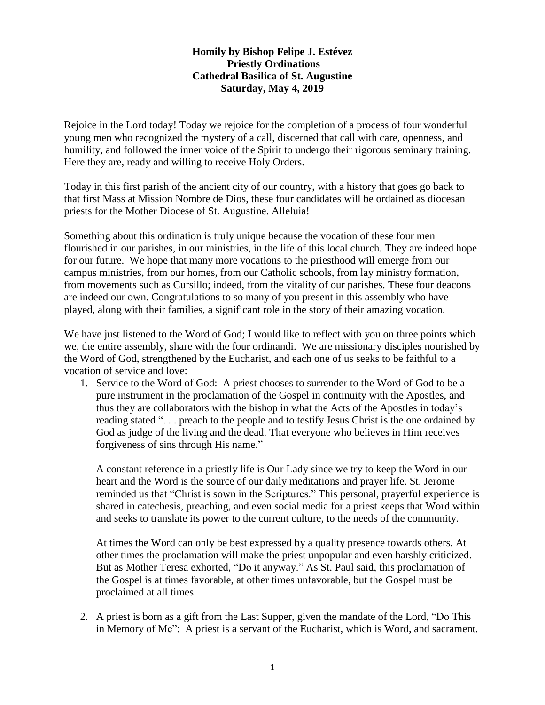## **Homily by Bishop Felipe J. Estévez Priestly Ordinations Cathedral Basilica of St. Augustine Saturday, May 4, 2019**

Rejoice in the Lord today! Today we rejoice for the completion of a process of four wonderful young men who recognized the mystery of a call, discerned that call with care, openness, and humility, and followed the inner voice of the Spirit to undergo their rigorous seminary training. Here they are, ready and willing to receive Holy Orders.

Today in this first parish of the ancient city of our country, with a history that goes go back to that first Mass at Mission Nombre de Dios, these four candidates will be ordained as diocesan priests for the Mother Diocese of St. Augustine. Alleluia!

Something about this ordination is truly unique because the vocation of these four men flourished in our parishes, in our ministries, in the life of this local church. They are indeed hope for our future. We hope that many more vocations to the priesthood will emerge from our campus ministries, from our homes, from our Catholic schools, from lay ministry formation, from movements such as Cursillo; indeed, from the vitality of our parishes. These four deacons are indeed our own. Congratulations to so many of you present in this assembly who have played, along with their families, a significant role in the story of their amazing vocation.

We have just listened to the Word of God; I would like to reflect with you on three points which we, the entire assembly, share with the four ordinandi. We are missionary disciples nourished by the Word of God, strengthened by the Eucharist, and each one of us seeks to be faithful to a vocation of service and love:

1. Service to the Word of God: A priest chooses to surrender to the Word of God to be a pure instrument in the proclamation of the Gospel in continuity with the Apostles, and thus they are collaborators with the bishop in what the Acts of the Apostles in today's reading stated ". . . preach to the people and to testify Jesus Christ is the one ordained by God as judge of the living and the dead. That everyone who believes in Him receives forgiveness of sins through His name."

A constant reference in a priestly life is Our Lady since we try to keep the Word in our heart and the Word is the source of our daily meditations and prayer life. St. Jerome reminded us that "Christ is sown in the Scriptures." This personal, prayerful experience is shared in catechesis, preaching, and even social media for a priest keeps that Word within and seeks to translate its power to the current culture, to the needs of the community.

At times the Word can only be best expressed by a quality presence towards others. At other times the proclamation will make the priest unpopular and even harshly criticized. But as Mother Teresa exhorted, "Do it anyway." As St. Paul said, this proclamation of the Gospel is at times favorable, at other times unfavorable, but the Gospel must be proclaimed at all times.

2. A priest is born as a gift from the Last Supper, given the mandate of the Lord, "Do This in Memory of Me": A priest is a servant of the Eucharist, which is Word, and sacrament.